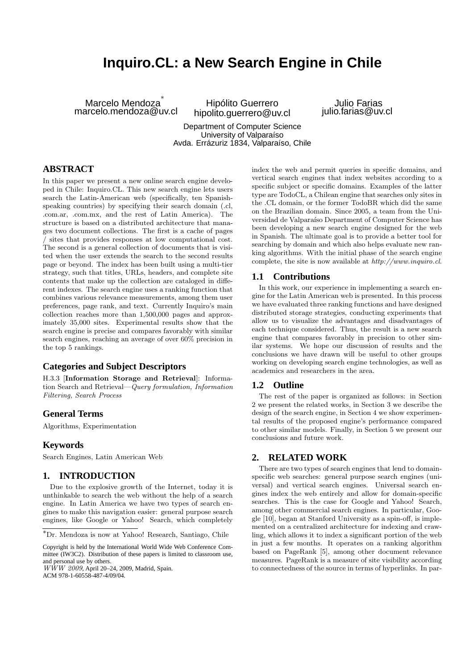# **Inquiro.CL: a New Search Engine in Chile**

Marcelo Mendoza ∗ marcelo.mendoza@uv.cl

Hipólito Guerrero hipolito.guerrero@uv.cl

Julio Farias julio.farias@uv.cl

Department of Computer Science University of Valparaíso Avda. Errázuriz 1834, Valparaíso, Chile

## **ABSTRACT**

In this paper we present a new online search engine developed in Chile: Inquiro.CL. This new search engine lets users search the Latin-American web (specifically, ten Spanishspeaking countries) by specifying their search domain (.cl, .com.ar, .com.mx, and the rest of Latin America). The structure is based on a distributed architecture that manages two document collections. The first is a cache of pages / sites that provides responses at low computational cost. The second is a general collection of documents that is visited when the user extends the search to the second results page or beyond. The index has been built using a multi-tier strategy, such that titles, URLs, headers, and complete site contents that make up the collection are cataloged in different indexes. The search engine uses a ranking function that combines various relevance measurements, among them user preferences, page rank, and text. Currently Inquiro's main collection reaches more than 1,500,000 pages and approximately 35,000 sites. Experimental results show that the search engine is precise and compares favorably with similar search engines, reaching an average of over 60% precision in the top 5 rankings.

## **Categories and Subject Descriptors**

H.3.3 [Information Storage and Retrieval]: Information Search and Retrieval—Query formulation, Information Filtering, Search Process

# **General Terms**

Algorithms, Experimentation

### **Keywords**

Search Engines, Latin American Web

## **1. INTRODUCTION**

Due to the explosive growth of the Internet, today it is unthinkable to search the web without the help of a search engine. In Latin America we have two types of search engines to make this navigation easier: general purpose search engines, like Google or Yahoo! Search, which completely

ACM 978-1-60558-487-4/09/04.

index the web and permit queries in specific domains, and vertical search engines that index websites according to a specific subject or specific domains. Examples of the latter type are TodoCL, a Chilean engine that searches only sites in the .CL domain, or the former TodoBR which did the same on the Brazilian domain. Since 2005, a team from the Universidad de Valparaíso Department of Computer Science has been developing a new search engine designed for the web in Spanish. The ultimate goal is to provide a better tool for searching by domain and which also helps evaluate new ranking algorithms. With the initial phase of the search engine complete, the site is now available at http://www.inquiro.cl.

## **1.1 Contributions**

In this work, our experience in implementing a search engine for the Latin American web is presented. In this process we have evaluated three ranking functions and have designed distributed storage strategies, conducting experiments that allow us to visualize the advantages and disadvantages of each technique considered. Thus, the result is a new search engine that compares favorably in precision to other similar systems. We hope our discussion of results and the conclusions we have drawn will be useful to other groups working on developing search engine technologies, as well as academics and researchers in the area.

### **1.2 Outline**

The rest of the paper is organized as follows: in Section 2 we present the related works, in Section 3 we describe the design of the search engine, in Section 4 we show experimental results of the proposed engine's performance compared to other similar models. Finally, in Section 5 we present our conclusions and future work.

### **2. RELATED WORK**

There are two types of search engines that lend to domainspecific web searches: general purpose search engines (universal) and vertical search engines. Universal search engines index the web entirely and allow for domain-specific searches. This is the case for Google and Yahoo! Search, among other commercial search engines. In particular, Google [10], began at Stanford University as a spin-off, is implemented on a centralized architecture for indexing and crawling, which allows it to index a significant portion of the web in just a few months. It operates on a ranking algorithm based on PageRank [5], among other document relevance measures. PageRank is a measure of site visibility according to connectedness of the source in terms of hyperlinks. In par-

<sup>∗</sup>Dr. Mendoza is now at Yahoo! Research, Santiago, Chile

Copyright is held by the International World Wide Web Conference Committee (IW3C2). Distribution of these papers is limited to classroom use, and personal use by others.

WWW 2009, April 20–24, 2009, Madrid, Spain.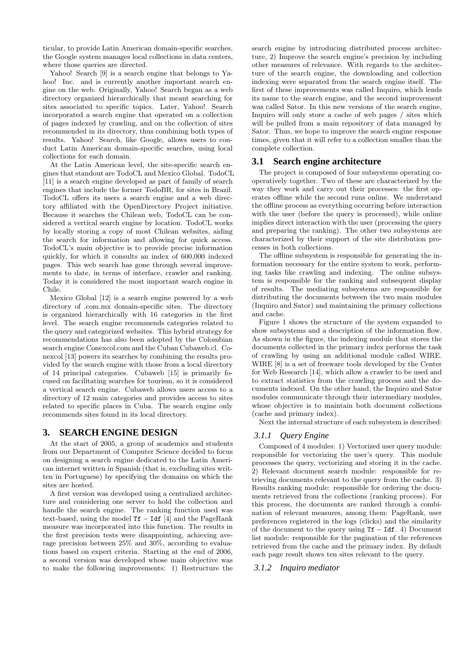ticular, to provide Latin American domain-specific searches, the Google system manages local collections in data centers, where those queries are directed.

Yahoo! Search [9] is a search engine that belongs to Yahoo! Inc. and is currently another important search engine on the web. Originally, Yahoo! Search began as a web directory organized hierarchically that meant searching for sites associated to specific topics. Later, Yahoo! Search incorporated a search engine that operated on a collection of pages indexed by crawling, and on the collection of sites recommended in its directory, thus combining both types of results. Yahoo! Search, like Google, allows users to conduct Latin American domain-specific searches, using local collections for each domain.

At the Latin American level, the site-specific search engines that standout are TodoCL and Mexico Global. TodoCL [11] is a search engine developed as part of family of search engines that include the former TodoBR, for sites in Brazil. TodoCL offers its users a search engine and a web directory affiliated with the OpenDirectory Project initiative. Because it searches the Chilean web, TodoCL can be considered a vertical search engine by location. TodoCL works by locally storing a copy of most Chilean websites, aiding the search for information and allowing for quick access. TodoCL's main objective is to provide precise information quickly, for which it consults an index of 600,000 indexed pages. This web search has gone through several improvements to date, in terms of interface, crawler and ranking. Today it is considered the most important search engine in Chile.

Mexico Global [12] is a search engine powered by a web directory of .com.mx domain-specific sites. The directory is organized hierarchically with 16 categories in the first level. The search engine recommends categories related to the query and categorized websites. This hybrid strategy for recommendations has also been adopted by the Colombian search engine Conexcol.com and the Cuban Cubaweb.cl. Conexcol [13] powers its searches by combining the results provided by the search engine with those from a local directory of 14 principal categories. Cubaweb [15] is primarily focused on facilitating searches for tourism, so it is considered a vertical search engine. Cubaweb allows users access to a directory of 12 main categories and provides access to sites related to specific places in Cuba. The search engine only recommends sites found in its local directory.

# **3. SEARCH ENGINE DESIGN**

At the start of 2005, a group of academics and students from our Department of Computer Science decided to focus on designing a search engine dedicated to the Latin American internet written in Spanish (that is, excluding sites written in Portuguese) by specifying the domains on which the sites are hosted.

A first version was developed using a centralized architecture and considering one server to hold the collection and handle the search engine. The ranking function used was text-based, using the model  $Tf - Idf$  [4] and the PageRank measure was incorporated into this function. The results in the first precision tests were disappointing, achieving average precision between 25% and 30%, according to evaluations based on expert criteria. Starting at the end of 2006, a second version was developed whose main objective was to make the following improvements: 1) Restructure the

search engine by introducing distributed process architecture, 2) Improve the search engine's precision by including other measures of relevance. With regards to the architecture of the search engine, the downloading and collection indexing were separated from the search engine itself. The first of these improvements was called Inquiro, which lends its name to the search engine, and the second improvement was called Sator. In this new versions of the search engine, Inquiro will only store a cache of web pages / sites which will be pulled from a main repository of data managed by Sator. Thus, we hope to improve the search engine response times, given that it will refer to a collection smaller than the complete collection.

## **3.1 Search engine architecture**

The project is composed of four subsystems operating cooperatively together. Two of these are characterized by the way they work and carry out their processes: the first operates offline while the second runs online. We understand the offline process as everything occurring before interaction with the user (before the query is processed), while online implies direct interaction with the user (processing the query and preparing the ranking). The other two subsystems are characterized by their support of the site distribution processes in both collections.

The offline subsystem is responsible for generating the information necessary for the entire system to work, performing tasks like crawling and indexing. The online subsystem is responsible for the ranking and subsequent display of results. The mediating subsystems are responsible for distributing the documents between the two main modules (Inquiro and Sator) and maintaining the primary collections and cache.

Figure 1 shows the structure of the system expanded to show subsystems and a description of the information flow. As shown in the figure, the indexing module that stores the documents collected in the primary index performs the task of crawling by using an additional module called WIRE. WIRE [8] is a set of freeware tools developed by the Center for Web Research [14], which allow a crawler to be used and to extract statistics from the crawling process and the documents indexed. On the other hand, the Inquiro and Sator modules communicate through their intermediary modules, whose objective is to maintain both document collections (cache and primary index).

Next the internal structure of each subsystem is described:

## *3.1.1 Query Engine*

Composed of 4 modules: 1) Vectorized user query module: responsible for vectorizing the user's query. This module processes the query, vectorizing and storing it in the cache. 2) Relevant document search module: responsible for retrieving documents relevant to the query from the cache. 3) Results ranking module: responsible for ordering the documents retrieved from the collections (ranking process). For this process, the documents are ranked through a combination of relevant measures, among them: PageRank, user preferences registered in the logs (clicks) and the similarity of the document to the query using  $Tf - Idf$ . 4) Document list module: responsible for the pagination of the references retrieved from the cache and the primary index. By default each page result shows ten sites relevant to the query.

### *3.1.2 Inquiro mediator*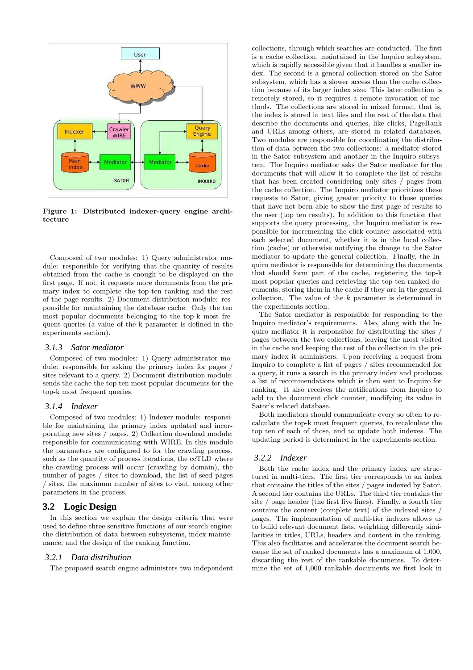

Figure 1: Distributed indexer-query engine architecture

Composed of two modules: 1) Query administrator module: responsible for verifying that the quantity of results obtained from the cache is enough to be displayed on the first page. If not, it requests more documents from the primary index to complete the top-ten ranking and the rest of the page results. 2) Document distribution module: responsible for maintaining the database cache. Only the ten most popular documents belonging to the top-k most frequent queries (a value of the k parameter is defined in the experiments section).

#### *3.1.3 Sator mediator*

Composed of two modules: 1) Query administrator module: responsible for asking the primary index for pages / sites relevant to a query. 2) Document distribution module: sends the cache the top ten most popular documents for the top-k most frequent queries.

#### *3.1.4 Indexer*

Composed of two modules: 1) Indexer module: responsible for maintaining the primary index updated and incorporating new sites / pages. 2) Collection download module: responsible for communicating with WIRE. In this module the parameters are configured to for the crawling process, such as the quantity of process iterations, the ccTLD where the crawling process will occur (crawling by domain), the number of pages / sites to download, the list of seed pages / sites, the maximum number of sites to visit, among other parameters in the process.

### **3.2 Logic Design**

In this section we explain the design criteria that were used to define three sensitive functions of our search engine: the distribution of data between subsystems, index maintenance, and the design of the ranking function.

#### *3.2.1 Data distribution*

The proposed search engine administers two independent

collections, through which searches are conducted. The first is a cache collection, maintained in the Inquiro subsystem, which is rapidly accessible given that it handles a smaller index. The second is a general collection stored on the Sator subsystem, which has a slower access than the cache collection because of its larger index size. This later collection is remotely stored, so it requires a remote invocation of methods. The collections are stored in mixed format, that is, the index is stored in text files and the rest of the data that describe the documents and queries, like clicks, PageRank and URLs among others, are stored in related databases. Two modules are responsible for coordinating the distribution of data between the two collections: a mediator stored in the Sator subsystem and another in the Inquiro subsystem. The Inquiro mediator asks the Sator mediator for the documents that will allow it to complete the list of results that has been created considering only sites / pages from the cache collection. The Inquiro mediator prioritizes these requests to Sator, giving greater priority to those queries that have not been able to show the first page of results to the user (top ten results). In addition to this function that supports the query processing, the Inquiro mediator is responsible for incrementing the click counter associated with each selected document, whether it is in the local collection (cache) or otherwise notifying the change to the Sator mediator to update the general collection. Finally, the Inquiro mediator is responsible for determining the documents that should form part of the cache, registering the top-k most popular queries and retrieving the top ten ranked documents, storing them in the cache if they are in the general collection. The value of the k parameter is determined in the experiments section.

The Sator mediator is responsible for responding to the Inquiro mediator's requirements. Also, along with the Inquiro mediator it is responsible for distributing the sites / pages between the two collections, leaving the most visited in the cache and keeping the rest of the collection in the primary index it administers. Upon receiving a request from Inquiro to complete a list of pages / sites recommended for a query, it runs a search in the primary index and produces a list of recommendations which is then sent to Inquiro for ranking. It also receives the notifications from Inquiro to add to the document click counter, modifying its value in Sator's related database.

Both mediators should communicate every so often to recalculate the top-k most frequent queries, to recalculate the top ten of each of those, and to update both indexes. The updating period is determined in the experiments section.

#### *3.2.2 Indexer*

Both the cache index and the primary index are structured in multi-tiers. The first tier corresponds to an index that contains the titles of the sites / pages indexed by Sator. A second tier contains the URLs. The third tier contains the site / page header (the first five lines). Finally, a fourth tier contains the content (complete text) of the indexed sites / pages. The implementation of multi-tier indexes allows us to build relevant document lists, weighting differently similarities in titles, URLs, headers and content in the ranking. This also facilitates and accelerates the document search because the set of ranked documents has a maximum of 1,000, discarding the rest of the rankable documents. To determine the set of 1,000 rankable documents we first look in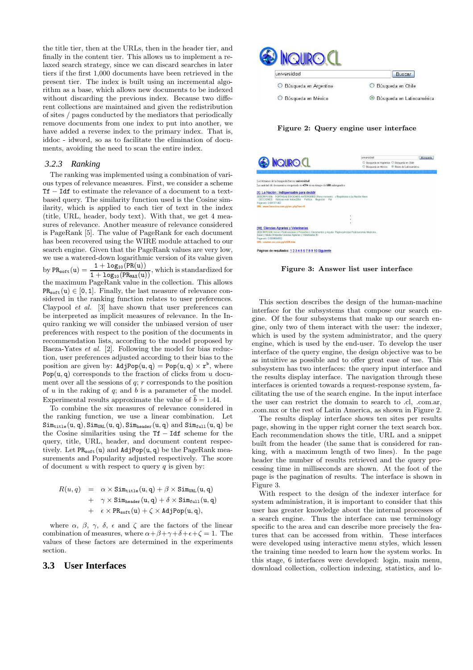the title tier, then at the URLs, then in the header tier, and finally in the content tier. This allows us to implement a relaxed search strategy, since we can discard searches in later tiers if the first 1,000 documents have been retrieved in the present tier. The index is built using an incremental algorithm as a base, which allows new documents to be indexed without discarding the previous index. Because two different collections are maintained and given the redistribution of sites / pages conducted by the mediators that periodically remove documents from one index to put into another, we have added a reverse index to the primary index. That is, iddoc - idword, so as to facilitate the elimination of documents, avoiding the need to scan the entire index.

#### *3.2.3 Ranking*

The ranking was implemented using a combination of various types of relevance measures. First, we consider a scheme Tf − Idf to estimate the relevance of a document to a textbased query. The similarity function used is the Cosine similarity, which is applied to each tier of text in the index (title, URL, header, body text). With that, we get 4 measures of relevance. Another measure of relevance considered is PageRank [5]. The value of PageRank for each document has been recovered using the WIRE module attached to our search engine. Given that the PageRank values are very low, we use a watered-down logarithmic version of its value given<br>  $1 + \log_{10}(PR(u))$  which is standardized for by  $PR_{soft}(u) = \frac{1 + log_{10}(PR_{M\alpha}(u))}{1 + log_{10}(PR_{M\alpha}(u))}$ , which is standardized for the maximum PageRank value in the collection. This allows  $PR_{soft}(u) \in [0, 1]$ . Finally, the last measure of relevance considered in the ranking function relates to user preferences. Claypool et al. [3] have shown that user preferences can be interpreted as implicit measures of relevance. In the Inquiro ranking we will consider the unbiased version of user preferences with respect to the position of the documents in recommendation lists, according to the model proposed by Baeza-Yates et al. [2]. Following the model for bias reduction, user preferences adjusted according to their bias to the position are given by:  $\text{AdjPop}(u, q) = \text{Pop}(u, q) \times r^b$ , where Pop $(u, q)$  corresponds to the fraction of clicks from u document over all the sessions of  $q$ ;  $r$  corresponds to the position of  $u$  in the raking of  $q$ ; and  $b$  is a parameter of the model. Experimental results approximate the value of  $\hat{b} = 1.44$ .

To combine the six measures of relevance considered in the ranking function, we use a linear combination. Let  $Sim_{\text{title}}(u, q), Sim_{\text{URL}}(u, q), Sim_{\text{header}}(u, q) \text{ and } Sim_{\text{full}}(u, q) \text{ be}$ the Cosine similarities using the Tf − Idf scheme for the query, title, URL, header, and document content respectively. Let  $PR_{soft}(u)$  and  $AdjPop(u, q)$  be the PageRank measurements and Popularity adjusted respectively. The score of document u with respect to query q is given by:

$$
\begin{array}{lcl} R(u,q) & = & \alpha \times \mathtt{Sim_{title}}(u,q) + \beta \times \mathtt{Sim_{URL}}(u,q) \\ & & + & \gamma \times \mathtt{Sim_{header}}(u,q) + \delta \times \mathtt{Sim_{full}}(u,q) \\ & & + & \epsilon \times \mathtt{PR_{soft}}(u) + \zeta \times \mathtt{AdjPop}(u,q), \end{array}
$$

where  $\alpha$ ,  $\beta$ ,  $\gamma$ ,  $\delta$ ,  $\epsilon$  and  $\zeta$  are the factors of the linear combination of measures, where  $\alpha + \beta + \gamma + \delta + \epsilon + \zeta = 1$ . The values of these factors are determined in the experiments section.

# **3.3 User Interfaces**



Figure 2: Query engine user interface

|                                                                                                                                                                                                                            | universidad                                                                                    | Búsquedo |  |
|----------------------------------------------------------------------------------------------------------------------------------------------------------------------------------------------------------------------------|------------------------------------------------------------------------------------------------|----------|--|
| <b>NQUIRO.CL</b>                                                                                                                                                                                                           | Búsqueda en Argentina O Búsqueda en Chile<br>Búsqueda en México<br>Resto de Latinoamérica<br>O |          |  |
|                                                                                                                                                                                                                            |                                                                                                |          |  |
| Los términos de la busqueda fueron universidad                                                                                                                                                                             |                                                                                                |          |  |
| La cantidad de documentos recuperado es 4594 en un tiempo de 688 milisegundos                                                                                                                                              |                                                                                                |          |  |
| [1] La Nación : Indispensable para decidir<br>DESCRIPCION: PORTADAI EDICIONES ANTERIORES Último momento » Registrarse a La Nación News<br>SECCIONES Noticias más leidas206a Política Negocios Paí<br>Pagerank: 0.001371462 |                                                                                                |          |  |
| URL: www.lanacion.com.py/sec.php?sec=8                                                                                                                                                                                     |                                                                                                |          |  |
|                                                                                                                                                                                                                            |                                                                                                |          |  |
|                                                                                                                                                                                                                            | ٠                                                                                              |          |  |
|                                                                                                                                                                                                                            | ٠                                                                                              |          |  |
|                                                                                                                                                                                                                            |                                                                                                |          |  |
| [10] Ciencias Agrarias y Veterinarias                                                                                                                                                                                      |                                                                                                |          |  |
| DESCRIPCION: Inicio   Publicaciones y Provectos   Documentos y Avuda Página principal Publicaciones Medicina,<br>Salud y Medio Ambiente Ciencias Agrarias y Veterinarias Bi<br>Pagerank: 0.0004664992                      |                                                                                                |          |  |
| URL: newton.cnc.una.py/id370.htm                                                                                                                                                                                           |                                                                                                |          |  |
| Páginas de resultados: 1 2 3 4 5 6 7 8 9 10 Siguiente                                                                                                                                                                      |                                                                                                |          |  |
|                                                                                                                                                                                                                            |                                                                                                |          |  |

Figure 3: Answer list user interface

This section describes the design of the human-machine interface for the subsystems that compose our search engine. Of the four subsystems that make up our search engine, only two of them interact with the user: the indexer, which is used by the system administrator, and the query engine, which is used by the end-user. To develop the user interface of the query engine, the design objective was to be as intuitive as possible and to offer great ease of use. This subsystem has two interfaces: the query input interface and the results display interface. The navigation through these interfaces is oriented towards a request-response system, facilitating the use of the search engine. In the input interface the user can restrict the domain to search to .cl, .com.ar, .com.mx or the rest of Latin America, as shown in Figure 2.

The results display interface shows ten sites per results page, showing in the upper right corner the text search box. Each recommendation shows the title, URL and a snippet built from the header (the same that is considered for ranking, with a maximum length of two lines). In the page header the number of results retrieved and the query processing time in milliseconds are shown. At the foot of the page is the pagination of results. The interface is shown in Figure 3.

With respect to the design of the indexer interface for system administration, it is important to consider that this user has greater knowledge about the internal processes of a search engine. Thus the interface can use terminology specific to the area and can describe more precisely the features that can be accessed from within. These interfaces were developed using interactive menu styles, which lessen the training time needed to learn how the system works. In this stage, 6 interfaces were developed: login, main menu, download collection, collection indexing, statistics, and lo-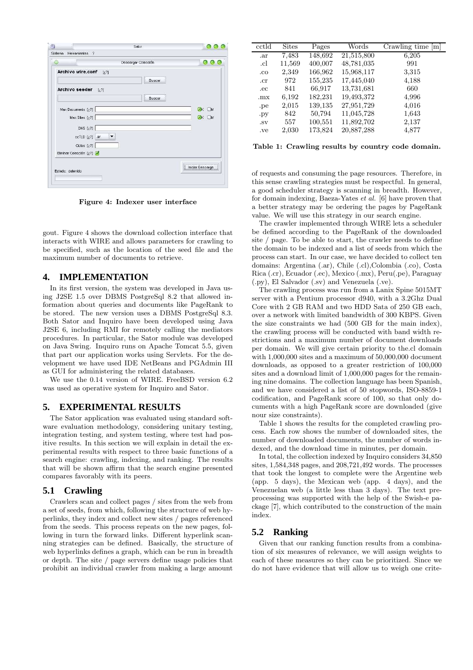

Figure 4: Indexer user interface

gout. Figure 4 shows the download collection interface that interacts with WIRE and allows parameters for crawling to be specified, such as the location of the seed file and the maximum number of documents to retrieve.

## **4. IMPLEMENTATION**

In its first version, the system was developed in Java using J2SE 1.5 over DBMS PostgreSql 8.2 that allowed information about queries and documents like PageRank to be stored. The new version uses a DBMS PostgreSql 8.3. Both Sator and Inquiro have been developed using Java J2SE 6, including RMI for remotely calling the mediators procedures. In particular, the Sator module was developed on Java Swing. Inquiro runs on Apache Tomcat 5.5, given that part our application works using Servlets. For the development we have used IDE NetBeans and PGAdmin III as GUI for administering the related databases.

We use the 0.14 version of WIRE. FreeBSD version 6.2 was used as operative system for Inquiro and Sator.

## **5. EXPERIMENTAL RESULTS**

The Sator application was evaluated using standard software evaluation methodology, considering unitary testing, integration testing, and system testing, where test had positive results. In this section we will explain in detail the experimental results with respect to three basic functions of a search engine: crawling, indexing, and ranking. The results that will be shown affirm that the search engine presented compares favorably with its peers.

## **5.1 Crawling**

Crawlers scan and collect pages / sites from the web from a set of seeds, from which, following the structure of web hyperlinks, they index and collect new sites / pages referenced from the seeds. This process repeats on the new pages, following in turn the forward links. Different hyperlink scanning strategies can be defined. Basically, the structure of web hyperlinks defines a graph, which can be run in breadth or depth. The site / page servers define usage policies that prohibit an individual crawler from making a large amount

| cctld | <b>Sites</b> | Pages   | Words      | $\overline{\text{Crawling time}}$ [m] |
|-------|--------------|---------|------------|---------------------------------------|
| .ar   | 7,483        | 148,692 | 21,515,800 | 6,205                                 |
| .cl   | 11,569       | 400,007 | 48,781,035 | 991                                   |
| .co   | 2,349        | 166,962 | 15,968,117 | 3,315                                 |
| .cr   | 972          | 155,235 | 17,445,040 | 4,188                                 |
| .ec   | 841          | 66,917  | 13,731,681 | 660                                   |
| .mx   | 6,192        | 182,231 | 19,493,372 | 4,996                                 |
| .pe   | 2,015        | 139,135 | 27,951,729 | 4,016                                 |
| .py   | 842          | 50,794  | 11,045,728 | 1,643                                 |
| SV    | 557          | 100,551 | 11,892,702 | 2,137                                 |
| .ve   | 2,030        | 173,824 | 20,887,288 | 4,877                                 |

Table 1: Crawling results by country code domain.

of requests and consuming the page resources. Therefore, in this sense crawling strategies must be respectful. In general, a good scheduler strategy is scanning in breadth. However, for domain indexing, Baeza-Yates et al. [6] have proven that a better strategy may be ordering the pages by PageRank value. We will use this strategy in our search engine.

The crawler implemented through WIRE lets a scheduler be defined according to the PageRank of the downloaded site / page. To be able to start, the crawler needs to define the domain to be indexed and a list of seeds from which the process can start. In our case, we have decided to collect ten domains: Argentina (.ar), Chile (.cl),Colombia (.co), Costa Rica (.cr), Ecuador (.ec), Mexico (.mx), Peru(.pe), Paraguay (.py), El Salvador (.sv) and Venezuela (.ve).

The crawling process was run from a Lanix Spine 5015MT server with a Pentium processor d940, with a 3.2Ghz Dual Core with 2 GB RAM and two HDD Sata of 250 GB each, over a network with limited bandwidth of 300 KBPS. Given the size constraints we had (500 GB for the main index), the crawling process will be conducted with band width restrictions and a maximum number of document downloads per domain. We will give certain priority to the.cl domain with 1,000,000 sites and a maximum of 50,000,000 document downloads, as opposed to a greater restriction of 100,000 sites and a download limit of 1,000,000 pages for the remaining nine domains. The collection language has been Spanish, and we have considered a list of 50 stopwords, ISO-8859-1 codification, and PageRank score of 100, so that only documents with a high PageRank score are downloaded (give nour size constraints).

Table 1 shows the results for the completed crawling process. Each row shows the number of downloaded sites, the number of downloaded documents, the number of words indexed, and the download time in minutes, per domain.

In total, the collection indexed by Inquiro considers 34,850 sites, 1,584,348 pages, and 208,721,492 words. The processes that took the longest to complete were the Argentine web (app. 5 days), the Mexican web (app. 4 days), and the Venezuelan web (a little less than 3 days). The text preprocessing was supported with the help of the Swish-e package [7], which contributed to the construction of the main index.

### **5.2 Ranking**

Given that our ranking function results from a combination of six measures of relevance, we will assign weights to each of these measures so they can be prioritized. Since we do not have evidence that will allow us to weigh one crite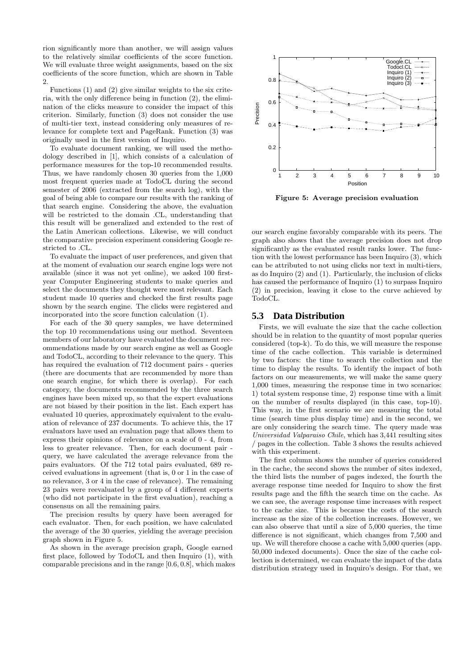rion significantly more than another, we will assign values to the relatively similar coefficients of the score function. We will evaluate three weight assignments, based on the six coefficients of the score function, which are shown in Table 2.

Functions (1) and (2) give similar weights to the six criteria, with the only difference being in function (2), the elimination of the clicks measure to consider the impact of this criterion. Similarly, function (3) does not consider the use of multi-tier text, instead considering only measures of relevance for complete text and PageRank. Function (3) was originally used in the first version of Inquiro.

To evaluate document ranking, we will used the methodology described in [1], which consists of a calculation of performance measures for the top-10 recommended results. Thus, we have randomly chosen 30 queries from the 1,000 most frequent queries made at TodoCL during the second semester of 2006 (extracted from the search log), with the goal of being able to compare our results with the ranking of that search engine. Considering the above, the evaluation will be restricted to the domain .CL, understanding that this result will be generalized and extended to the rest of the Latin American collections. Likewise, we will conduct the comparative precision experiment considering Google restricted to .CL.

To evaluate the impact of user preferences, and given that at the moment of evaluation our search engine logs were not available (since it was not yet online), we asked 100 firstyear Computer Engineering students to make queries and select the documents they thought were most relevant. Each student made 10 queries and checked the first results page shown by the search engine. The clicks were registered and incorporated into the score function calculation (1).

For each of the 30 query samples, we have determined the top 10 recommendations using our method. Seventeen members of our laboratory have evaluated the document recommendations made by our search engine as well as Google and TodoCL, according to their relevance to the query. This has required the evaluation of 712 document pairs - queries (there are documents that are recommended by more than one search engine, for which there is overlap). For each category, the documents recommended by the three search engines have been mixed up, so that the expert evaluations are not biased by their position in the list. Each expert has evaluated 10 queries, approximately equivalent to the evaluation of relevance of 237 documents. To achieve this, the 17 evaluators have used an evaluation page that allows them to express their opinions of relevance on a scale of 0 - 4, from less to greater relevance. Then, for each document pair query, we have calculated the average relevance from the pairs evaluators. Of the 712 total pairs evaluated, 689 received evaluations in agreement (that is, 0 or 1 in the case of no relevance, 3 or 4 in the case of relevance). The remaining 23 pairs were reevaluated by a group of 4 different experts (who did not participate in the first evaluation), reaching a consensus on all the remaining pairs.

The precision results by query have been averaged for each evaluator. Then, for each position, we have calculated the average of the 30 queries, yielding the average precision graph shown in Figure 5.

As shown in the average precision graph, Google earned first place, followed by TodoCL and then Inquiro (1), with comparable precisions and in the range [0.6, 0.8], which makes



Figure 5: Average precision evaluation

our search engine favorably comparable with its peers. The graph also shows that the average precision does not drop significantly as the evaluated result ranks lower. The function with the lowest performance has been Inquiro (3), which can be attributed to not using clicks nor text in multi-tiers, as do Inquiro (2) and (1). Particularly, the inclusion of clicks has caused the performance of Inquiro (1) to surpass Inquiro (2) in precision, leaving it close to the curve achieved by TodoCL.

## **5.3 Data Distribution**

Firsts, we will evaluate the size that the cache collection should be in relation to the quantity of most popular queries considered (top-k). To do this, we will measure the response time of the cache collection. This variable is determined by two factors: the time to search the collection and the time to display the results. To identify the impact of both factors on our measurements, we will make the same query 1,000 times, measuring the response time in two scenarios: 1) total system response time, 2) response time with a limit on the number of results displayed (in this case, top-10). This way, in the first scenario we are measuring the total time (search time plus display time) and in the second, we are only considering the search time. The query made was Universidad Valparaiso Chile, which has 3,441 resulting sites / pages in the collection. Table 3 shows the results achieved with this experiment.

The first column shows the number of queries considered in the cache, the second shows the number of sites indexed, the third lists the number of pages indexed, the fourth the average response time needed for Inquiro to show the first results page and the fifth the search time on the cache. As we can see, the average response time increases with respect to the cache size. This is because the costs of the search increase as the size of the collection increases. However, we can also observe that until a size of 5,000 queries, the time difference is not significant, which changes from 7,500 and up. We will therefore choose a cache with 5,000 queries (app. 50,000 indexed documents). Once the size of the cache collection is determined, we can evaluate the impact of the data distribution strategy used in Inquiro's design. For that, we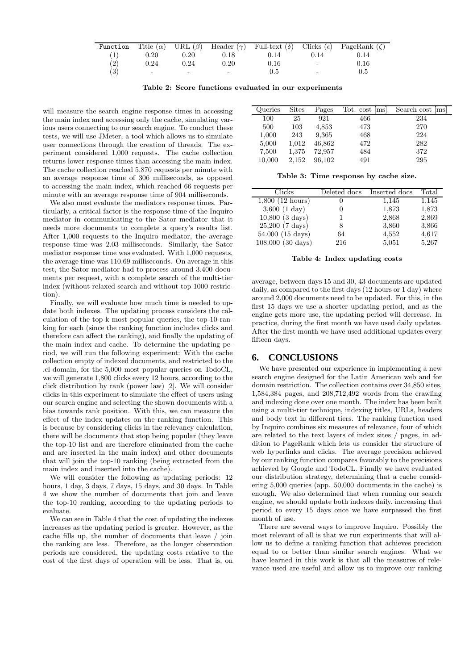| Function          |                          |                          |                          |      |        | Title ( $\alpha$ ) URL ( $\beta$ ) Header ( $\gamma$ ) Full-text ( $\delta$ ) Clicks ( $\epsilon$ ) PageRank ( $\zeta$ ) |
|-------------------|--------------------------|--------------------------|--------------------------|------|--------|--------------------------------------------------------------------------------------------------------------------------|
| (1)               | 0.20                     | 0.20                     | 0.18                     | 0.14 | 0.14   | 0.14                                                                                                                     |
| (2)               | 0.24                     | 0.24                     | $0.20\,$                 | 0.16 | $\sim$ | 0.16                                                                                                                     |
| $\left( 3\right)$ | $\overline{\phantom{0}}$ | $\overline{\phantom{0}}$ | $\overline{\phantom{a}}$ | 0.5  | $\sim$ | 0.5                                                                                                                      |

|  |  |  |  |  |  | Table 2: Score functions evaluated in our experiments |
|--|--|--|--|--|--|-------------------------------------------------------|
|--|--|--|--|--|--|-------------------------------------------------------|

will measure the search engine response times in accessing the main index and accessing only the cache, simulating various users connecting to our search engine. To conduct these tests, we will use JMeter, a tool which allows us to simulate user connections through the creation of threads. The experiment considered 1,000 requests. The cache collection returns lower response times than accessing the main index. The cache collection reached 5,870 requests per minute with an average response time of 306 milliseconds, as opposed to accessing the main index, which reached 66 requests per minute with an average response time of 904 milliseconds.

We also must evaluate the mediators response times. Particularly, a critical factor is the response time of the Inquiro mediator in communicating to the Sator mediator that it needs more documents to complete a query's results list. After 1,000 requests to the Inquiro mediator, the average response time was 2.03 milliseconds. Similarly, the Sator mediator response time was evaluated. With 1,000 requests, the average time was 110.69 milliseconds. On average in this test, the Sator mediator had to process around 3.400 documents per request, with a complete search of the multi-tier index (without relaxed search and without top 1000 restriction).

Finally, we will evaluate how much time is needed to update both indexes. The updating process considers the calculation of the top-k most popular queries, the top-10 ranking for each (since the ranking function includes clicks and therefore can affect the ranking), and finally the updating of the main index and cache. To determine the updating period, we will run the following experiment: With the cache collection empty of indexed documents, and restricted to the .cl domain, for the 5,000 most popular queries on TodoCL, we will generate 1,800 clicks every 12 hours, according to the click distribution by rank (power law) [2]. We will consider clicks in this experiment to simulate the effect of users using our search engine and selecting the shown documents with a bias towards rank position. With this, we can measure the effect of the index updates on the ranking function. This is because by considering clicks in the relevancy calculation, there will be documents that stop being popular (they leave the top-10 list and are therefore eliminated from the cache and are inserted in the main index) and other documents that will join the top-10 ranking (being extracted from the main index and inserted into the cache).

We will consider the following as updating periods: 12 hours, 1 day, 3 days, 7 days, 15 days, and 30 days. In Table 4 we show the number of documents that join and leave the top-10 ranking, according to the updating periods to evaluate.

We can see in Table 4 that the cost of updating the indexes increases as the updating period is greater. However, as the cache fills up, the number of documents that leave / join the ranking are less. Therefore, as the longer observation periods are considered, the updating costs relative to the cost of the first days of operation will be less. That is, on

| Queries | <b>Sites</b> | Pages  | Tot. cost  ms | Search cost [ms] |
|---------|--------------|--------|---------------|------------------|
| 100     | 25           | 921    | 466           | 234              |
| 500     | 103          | 4,853  | 473           | 270              |
| 1,000   | 243          | 9,365  | 468           | 224              |
| 5,000   | 1,012        | 46,862 | 472           | 282              |
| 7,500   | 1,375        | 72,957 | 484           | 372              |
| 10,000  | 2,152        | 96,102 | 491           | 295              |

Table 3: Time response by cache size.

| Clicks                      | Deleted docs | Inserted docs | Total |
|-----------------------------|--------------|---------------|-------|
| $1,800$ (12 hours)          |              | 1,145         | 1,145 |
| $3,600$ $(1 \text{ day})$   |              | 1,873         | 1,873 |
| $10,800$ $(3 \text{ days})$ |              | 2,868         | 2,869 |
| $25,200$ (7 days)           | 8            | 3,860         | 3,866 |
| 54.000 (15 days)            | 64           | 4,552         | 4,617 |
| 108.000 (30 days)           | 216          | 5,051         | 5,267 |

#### Table 4: Index updating costs

average, between days 15 and 30, 43 documents are updated daily, as compared to the first days (12 hours or 1 day) where around 2,000 documents need to be updated. For this, in the first 15 days we use a shorter updating period, and as the engine gets more use, the updating period will decrease. In practice, during the first month we have used daily updates. After the first month we have used additional updates every fifteen days.

## **6. CONCLUSIONS**

We have presented our experience in implementing a new search engine designed for the Latin American web and for domain restriction. The collection contains over 34,850 sites, 1,584,384 pages, and 208,712,492 words from the crawling and indexing done over one month. The index has been built using a multi-tier technique, indexing titles, URLs, headers and body text in different tiers. The ranking function used by Inquiro combines six measures of relevance, four of which are related to the text layers of index sites / pages, in addition to PageRank which lets us consider the structure of web hyperlinks and clicks. The average precision achieved by our ranking function compares favorably to the precisions achieved by Google and TodoCL. Finally we have evaluated our distribution strategy, determining that a cache considering 5,000 queries (app. 50,000 documents in the cache) is enough. We also determined that when running our search engine, we should update both indexes daily, increasing that period to every 15 days once we have surpassed the first month of use.

There are several ways to improve Inquiro. Possibly the most relevant of all is that we run experiments that will allow us to define a ranking function that achieves precision equal to or better than similar search engines. What we have learned in this work is that all the measures of relevance used are useful and allow us to improve our ranking